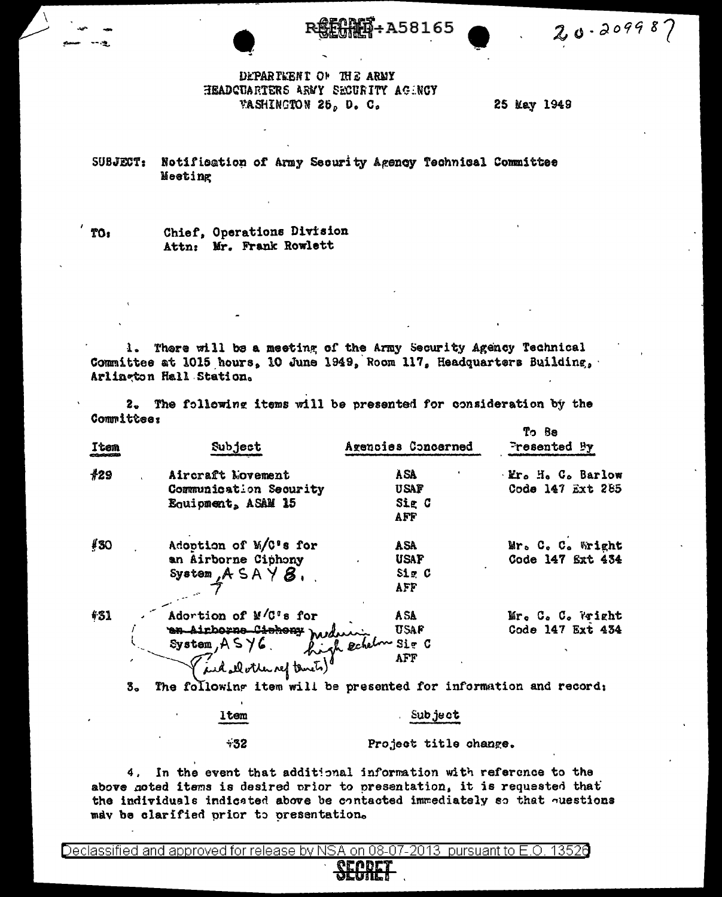A58165

 $20.209987$ 

## DEPARTEENT OF THE ARMY HEADCUARTERS ARMY SECURITY AGENCY WASHINGTON 25, D. C.

25 May 1949

SUBJECT: Notification of Army Security Agency Technical Committee Meeting

Chief, Operations Division Attn: Mr. Frank Rowlett

1. There will be a meeting of the Army Security Agency Technical Committee at 1015 hours, 10 June 1949, Room 117, Headquarters Building, Arlineton Hall Station.

2. The following items will be presented for consideration by the **Committee:**  $\mathbf{m}$   $\mathbf{D}$ 

| Item | Subject                                      | Agencies Concerned | ספ ניו<br>Presented By |
|------|----------------------------------------------|--------------------|------------------------|
| #29  | Aircraft Novement                            | <b>ASA</b>         | Mr. H. C. Barlow       |
|      | Communication Security                       | usap               | Code 147 Ext 285       |
|      | Equipment, ASAM 15                           | Sig C<br>AFF       |                        |
| #30  | Adoption of M/C's for                        | ASA                | Mr. C. C. Wright       |
|      | an Airborne Ciphony                          | <b>USAF</b>        | Code 147 Ext 434       |
|      | System, $A S A Y B$ ,                        | $S1 = C$           |                        |
|      |                                              | AFF                |                        |
| 431  | Adortion of M/C's for                        |                    | Mr. C. C. Vright       |
|      |                                              |                    | Code 147 Ext 434       |
|      |                                              |                    |                        |
|      | Adortion of me.<br>and all other nef temets) |                    |                        |

3. The following item will be presented for information and record;

ltem  $+32$ 

Project title change.

. Subject

4. In the event that additional information with reference to the above goted items is desired prior to presentation, it is requested that the individuals indicated above be contacted immediately so that ouestions may be clarified prior to presentation.

Declassified and approved for release by NSA on 08-07-2013 pursuant to E.O. 13526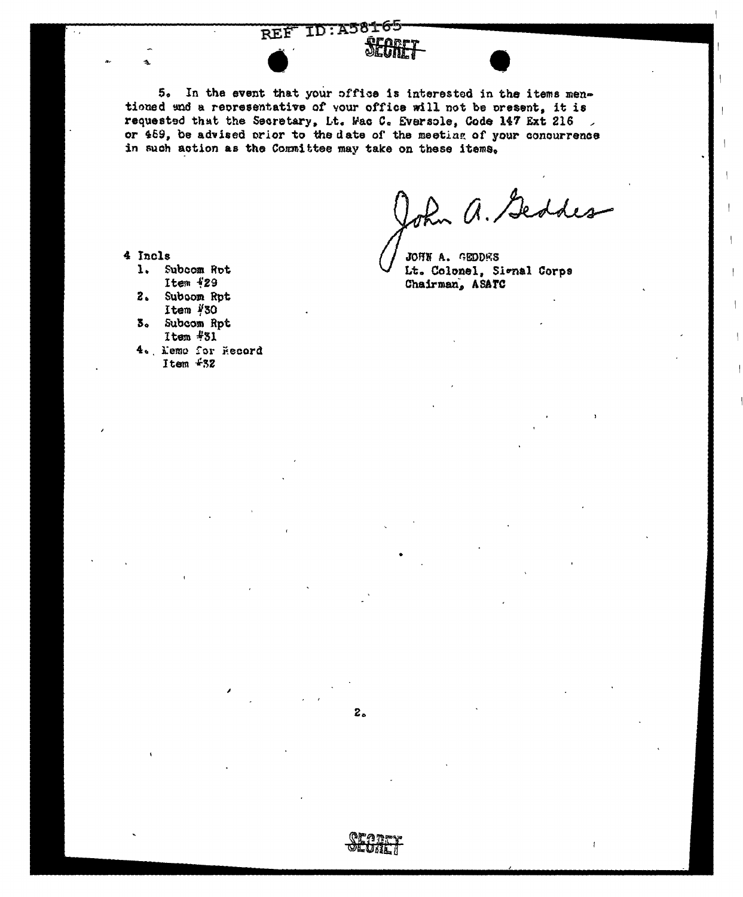# REF ID:A58165 SEGRET

5. In the event that your office is interested in the items mentioned and a representative of your office will not be present, it is requested that the Secretary, Lt. Wac C. Eversole, Code 147 Ext 216 or 459, be advised prior to the date of the meeting of your concurrence in such action as the Committee may take on these items.

 $\overline{z}$ 

John a. Geddes

JOHN A. GEODES Lt. Colonel, Signal Corps Chairman, ASATC

- 4 Incls
	- $1.$ Subcom Rot Item 429
	- 2. Subcom Rot Item #30
	- 3. Subcom Rpt Item #31
	- 4. Memo for Record Item #32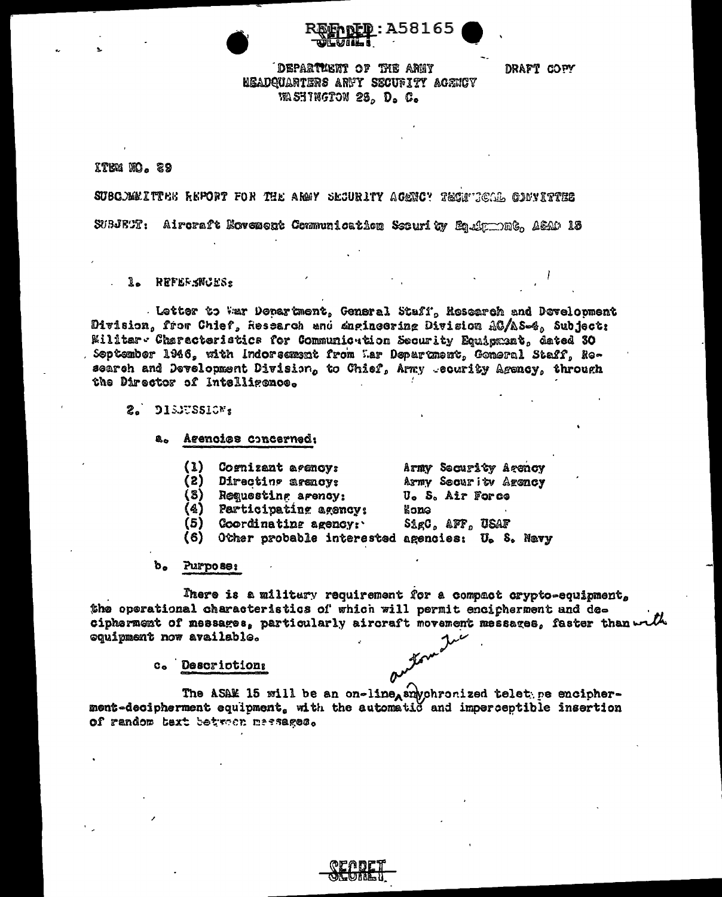

DRAFT COPY

# DEPARTMENT OF THE ARMY HEADQUARTERS ARMY SECURITY AGENCY WASHINGTON 25, D. C.

ITEM NO. 29

SUBC. MELTTEE REPORT FOR THE ARMY SECURITY ACENCY TECHNICAL GONVITTEE SUBJETT: Aircraft Novement Communication Security Equipments, ASAD 13

1. REFERENCES:

Letter to War Department, General Staff, Research and Development Division, from Chief, Research and dugingering Division AC/AS-4, Subject: Willtar Characteristics for Communication Security Equipment, dated 30 September 1946, with Indorsement from Mar Department, General Staff, Research and Development Division, to Chief, Army -ecurity Agency, through the Director of Intelligence.

- 2. DISJUSSION:
	- Agencies concerned: 亀っ
		- (1) Cognizant acency: Army Security Agency

Army Security Agency

U. S. Air Force

kone

- (2) Directing arency:
- (3) Requesting agency:
- (4) Participating agency:
- $(5)$  Coordinating agency: SigC, AFF, USAF
- (6) Other probable interested agencies: U. S. Navy
- $\mathbf{b}_{\mathbf{a}}$ **Purpose:**

There is a militury requirement for a compact crypto-equipment, the operational characteristics of which will permit encipherment and decipherment of messages, particularly aircraft movement messages, faster than with equipment now available.

c. Descrictions

The ASAM 15 will be an on-line awhohronized telet pe encipher-<br>ment-decipherment equipment, with the automatic and imperceptible insertion of random text between messages.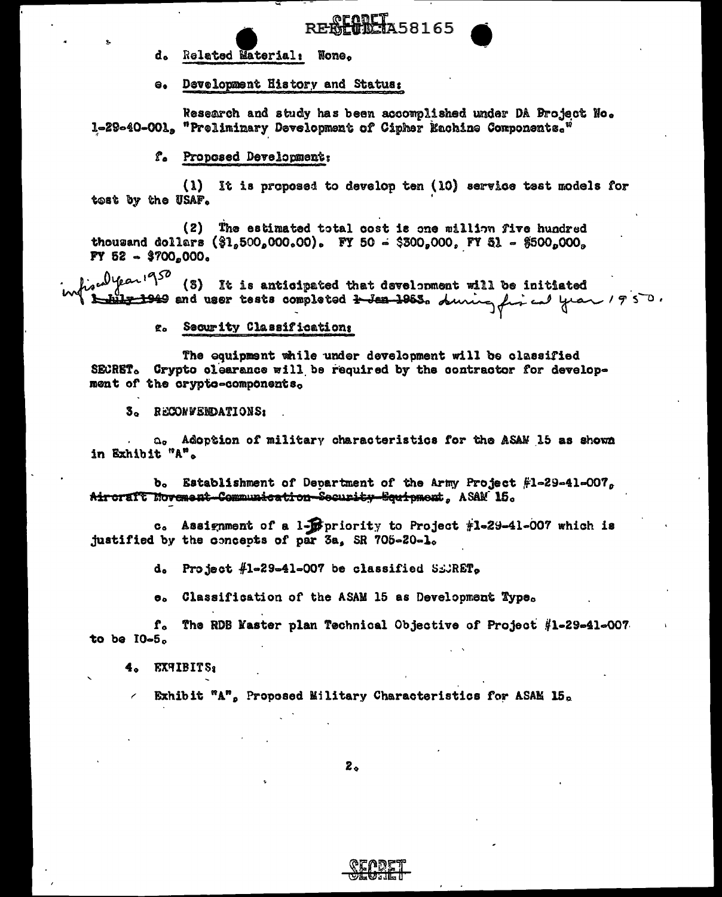Related Material: None. d.

e. Development History and Status:

Research and study has been accomplished under DA Broject No. 1-29-40-001, "Preliminary Development of Cipher Rachine Components."

**AFARET**A58165

f. Proposed Development:

 $\mathbf{u}$ It is proposed to develop ten (10) service test models for tost by the USAF.

(2) The estimated total cost is one million five hundred thousand dollars  $(\frac{6}{5}1,500,000,00)$ . FY 50 - \$300,000, FY 51 - \$500,000, FY 52  $\sim$  \$700,000.

alyear 1950 (3) It is anticipated that development will be initiated 1949 and user tests completed <del>1 Jea 1963</del>. during fin cal year 1950.

> Security Classifications ድል

The equipment while under development will be classified SECRET. Crypto clearance will be required by the contractor for development of the crypto-components,

3. RECONFENDATIONS:

a. Adoption of military characteristics for the ASAN 15 as shown in Exhibit "A".

b. Establishment of Department of the Army Project  $#1=29=41=007$ Aircraft Movement-Communication-Security-Squipment, ASAM 15.

c. Assignment of a 1-pepriority to Project #1-29-41-007 which is justified by the concepts of par 3a, SR 705-20-1.

d. Project  $#1-29-41-007$  be classified SECRET.

Classification of the ASAM 15 as Development Type.  $\mathbf{e}_{\mathbf{a}}$ 

 ${\bf r}_{\rm o}$ The RDB Master plan Technical Objective of Project #1-29-41-007 to be  $10-5.$ 

4. EXHIBITS:

Exhibit "A", Proposed Military Characteristics for ASAM 15.

 $2<sub>o</sub>$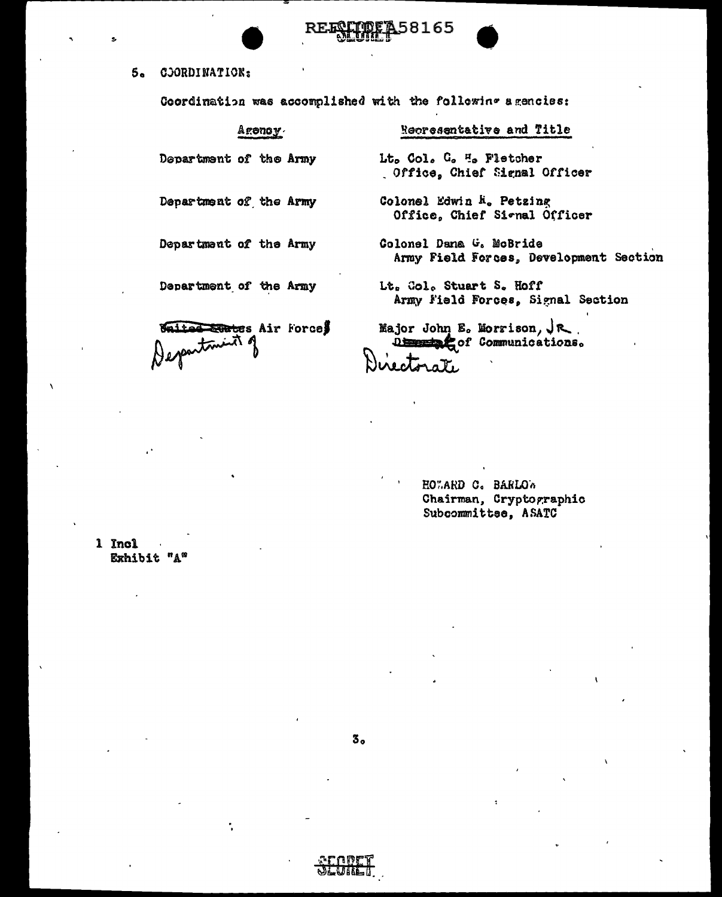

Coordination was accomplished with the following agencies:

| Aronov.                   | Recresentative and Title                                                    |
|---------------------------|-----------------------------------------------------------------------------|
| Department of the Army    | Lt. Col. G. H. Fletcher<br>Office, Chief Signal Officer                     |
| Department of the Army    | Colonel Edwin R. Petzing<br>Office, Chief Signal Officer                    |
| Department of the Army    | Colonel Dana G. McBride<br>Army Field Forces, Development Section           |
| Department of the Army    | Lt. Gol. Stuart S. Hoff<br>Army Field Forces, Signal Section                |
| Salted trates Air Force\$ | Major John E. Morrison, $\sqrt{\mathcal{R}}$ .<br>Dimension Communications. |

58165

HOWARD C. BARLOW Chairman, Cryptographic Subcommittee, ASATC

1 Incl Exhibit "A"

 $3^{\circ}$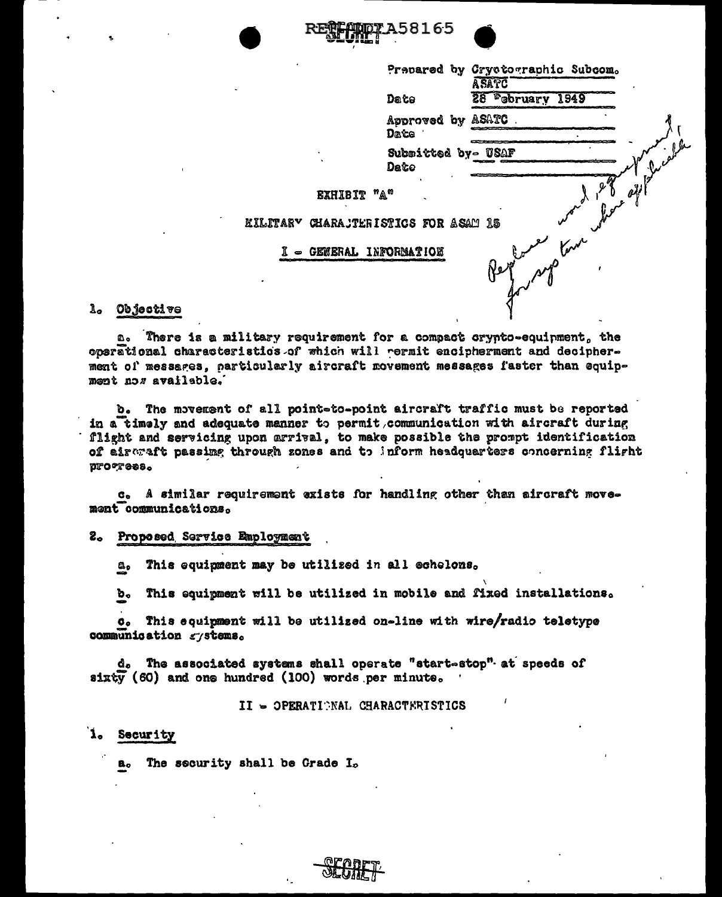



|                                      |                            | Prepared by Cryctographic Subcom.<br>ASATC |
|--------------------------------------|----------------------------|--------------------------------------------|
|                                      | Date                       | <b>February 1949</b><br>28                 |
|                                      | Approved by ASATC<br>Date  |                                            |
|                                      | Submitted by- USAF<br>Date | $\overrightarrow{y}$                       |
| EXHIBIT "A"                          |                            |                                            |
| KILITARY CHARAJTERISTICS FOR ASAM 15 |                            |                                            |
| I = GENERAL INFORMATION              |                            | was proposed                               |
|                                      |                            |                                            |

#### l. Objective

a. There is a military requirement for a compact crypto-equipment, the operational characteristics of which will permit encipherment and decipherment of messages, particularly aircraft movement messages faster than equipment nos available.

b. The movement of all point=to-point aircraft traffic must be reported in a timely and adequate manner to permit communication with aircraft during flight and servicing upon arrival, to make possible the prompt identification of aireraft passimg through zones and to inform headquarters concerning flight ргостева.

c. A similar requirement exists for handling other than aircraft movement communications.

#### 2. Proposed Service Employment

This equipment may be utilized in all echelons. ۵,

This equipment will be utilized in mobile and fixed installations. b.

This equipment will be utilized on-line with wire/radio teletype  $\boldsymbol{\mathsf{o}}$  . communication gystems.

d. The associated systems shall operate "start-stop" at speeds of sixty (60) and one hundred (100) words per minute.

II - OPERATIONAL CHARACTERISTICS

#### $\mathbf{1}_{\bullet}$ Security

The security shall be Grade  $I_{\infty}$ 8.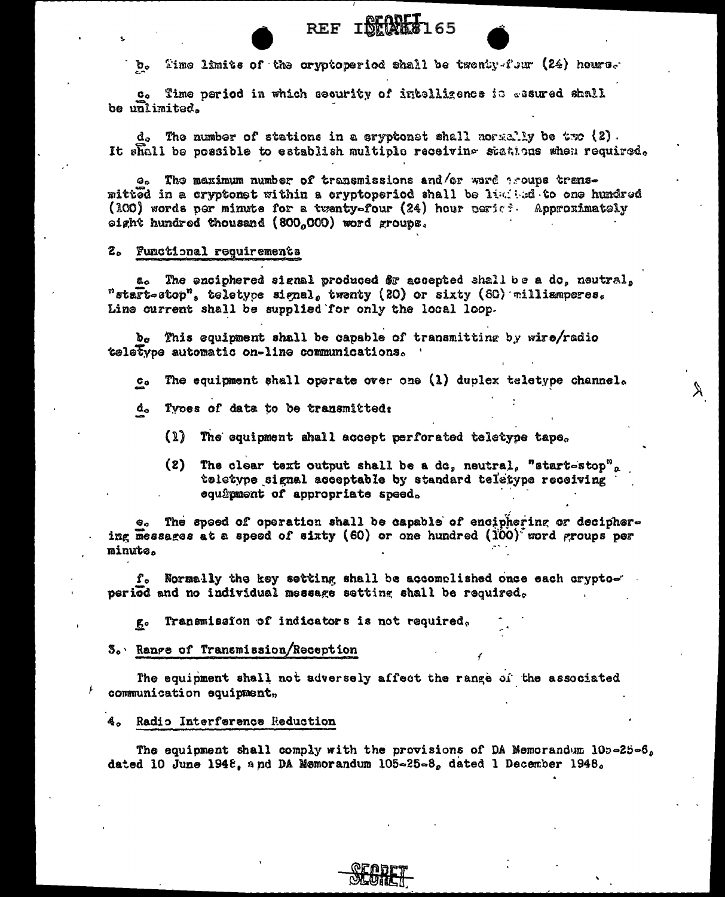REF INTERNET165

Time limits of the cryptoperiod shall be twenty-four (24) hours. b.

c. Time period in which security of intelligence is assured shall be unlimited.

 $d_o$  The number of stations in a cryptonst shall normally be two  $(2)$ . It shall be possible to establish multiple receiving stations when required.

e. The maximum number of transmissions and/or word aroups transmitted in a cryptonet within a cryptoperiod shall be limited to one hundred (200) words per minute for a twenty-four (24) hour perici- Approximately eight hundred thousand (800,000) word groups.

#### 2. Functional requirements

a. The enciphered signal produced \$F accepted shall be a do, neutral, "start-stop", teletype signal, twenty (20) or sixty (60) milliamperes. Line current shall be supplied for only the local loop.

b. This equipment shall be capable of transmitting by wire/radio teletype automatic on-line communications.

The equipment shall operate over one (1) duplex teletype channel.  $\mathbf{C_0}$ 

Ä.

- d. Types of data to be transmitted:
	- $\Omega$ The equipment shall accept perforated teletype tape.
	- The clear text output shall be a dc, neutral, "start-stop",  $(2)$ teletype signal acceptable by standard teletype receiving equipment of appropriate speed.

The speed of operation shall be capable of enciphering or deciphering messages at a speed of sixty (60) or one hundred  $(i00)^{2}$  word groups per minute.

f. Normally the key setting shall be accomplished once each cryptoperiod and no individual message setting shall be required.

Transmission of indicators is not required, gо

#### 3. Range of Transmission/Reception

The equipment shall not adversely affect the range of the associated communication equipment,

#### 4. Radio Interference Reduction

The equipment shall comply with the provisions of DA Memorandum  $105-25-6$ dated 10 June 1948, and DA Memorandum 105-25-8, dated 1 December 1948.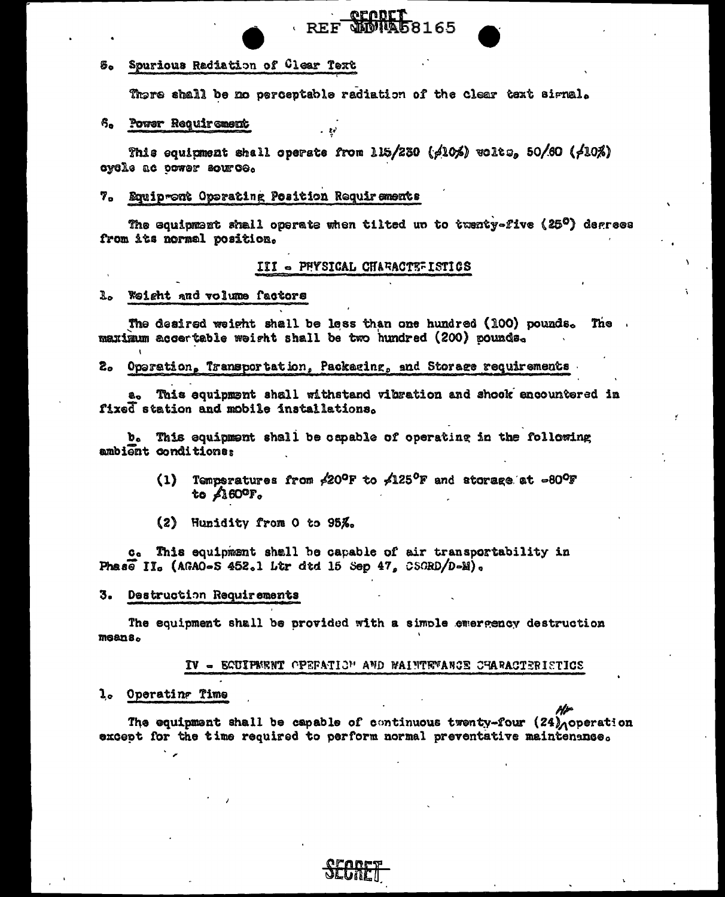#### Spurious Radiation of Clear Text 5.

There shall be no perceptable radiation of the clear text signal.

**SECRET**<br>SHOPPA58165

#### Power Requirement 6.

This equitment shall operate from 115/230 ( $/10/5$ ) wolts, 50/60 ( $/10/5$ ) cycle ac power source.

#### 7. Equipront Operating Position Requirements

The equipment shall operate when tilted un to twenty-five (25 $^{\circ}$ ) degrees from its normal position.

#### III - PHYSICAL CHARACTEFISTICS

#### L. Weight and volume factors

The desired weight shall be less than one hundred (100) pounds. The maximum accertable weight shall be two hundred (200) pounds.

### 2. Operation, Transportation, Packaging, and Storage requirements

a. This equipment shall withstand vibration and shook encountered in fixed station and mobile installations.

b. This equipment shall be capable of operating in the following ambient conditions:

- Temperatures from  $\neq 20^{\circ}$ F to  $\neq 125^{\circ}$ F and storage at  $\sim 80^{\circ}$ F  $(1)$ to  $\angle 160^{\circ}$ F.
- (2) Hunidity from O to 95%.

c. This equipment shall be capable of air transportability in Phase II. (AGAO-S 452.1 Ltr dtd 15 Sep 47. CSGRD/D-M).

#### Destruction Requirements 3.

The equipment shall be provided with a simple emergency destruction means.

#### IV - EGUIPERNT OPERATION AND WAINTEWANCE CHARACTERISTICS

#### l. Operating Time

The equipment shall be capable of continuous twenty-four  $(24)$  operation except for the time required to perform normal preventative maintenance.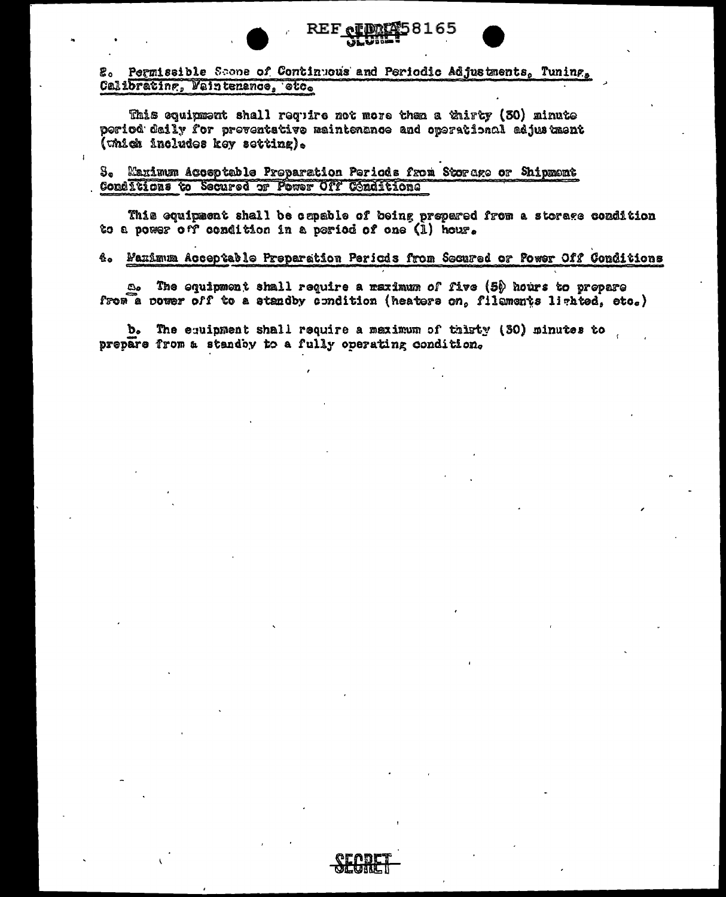# 2. Permissible Scone of Continuous and Periodic Adjustments, Tuning, Calibrating, Waintenance, etc.

REF ol

This equipment shall require not more than a thirty (30) minute poriod daily for proventative maintenance and operational adjustment (which includes key setting).

# 3. Maximum Accoptable Preparation Periods from Storage or Shipment Conditions to Secured or Power Off Conditions

This equipment shall be capable of being prepared from a storage condition to a power off condition in a period of one (1) hour.

58165

### 4. Maximum Acceptable Preparation Periods from Secured or Power Off Conditions

The equipment shall require a maximum of five (5) hours to prepare దిం from a power off to a standby condition (heaters on, filaments lighted, etc.)

b. The equipment shall require a meximum of thirty (30) minutes to prepare from a standby to a fully operating condition,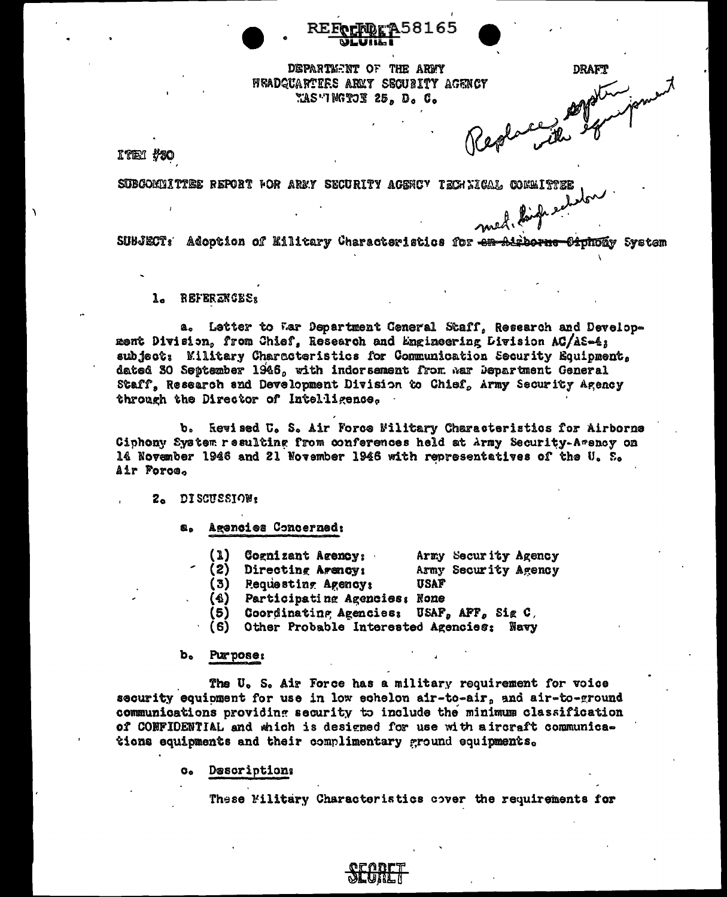DEPARTMENT OF THE ARMY WEADGUARTEES ARMY SECURITY AGENCY *MAS"INGTOR 25, D. C.* 

**DRAFT** 

KTEM #30

SUBCOMMITTEE REPORT FOR ARMY SECURITY AGENCY TECHLIGAL COMMITTEE med. linge endor

SUBJECT: Adoption of Military Characteristics for ex-Airborne <del>Ciono</del>áy System

1. REFERENCES:

a. Letter to Mar Department Ceneral Staff, Research and Development Division, from Chief, Research and Engineering Division AC/AS-4; subject: Military Characteristics for Communication Security Equipment. dated 30 September 1946, with indorsement from war Department General Staff, Research and Development Division to Chief, Army Security Agency through the Director of Intelligence.

b. Rewised U. S. Air Force Billtary Characteristics for Airborne Ciphony System resulting from conferences held at Army Security-Agency on 14 November 1946 and 21 November 1946 with representatives of the U. S. Air Force.

2. DISCUSSION:

Agencies Concerned:  $a<sub>n</sub>$ 

> (1) Cognizant Agency:<br>(2) Directing Agency: Army Security Agency Army Security Agency (3) Requesting Agencys **USAF** (4) Participating Agencies: None (5) Coordinating Agencies: USAF, AFF, Sig C.

(6) Other Probable Interested Agencies: Navy

#### b. Purpose:

The U. S. Air Force has a military requirement for voice security equioment for use in low echelon air-to-air, and air-to-ground communications providing security to include the minimum classification of CONFIDENTIAL and which is designed for use with a ircraft communications equipments and their complimentary ground equipments.

> Descriptions  $\alpha_{\rm e}$

> > These Military Characteristics cover the requirements for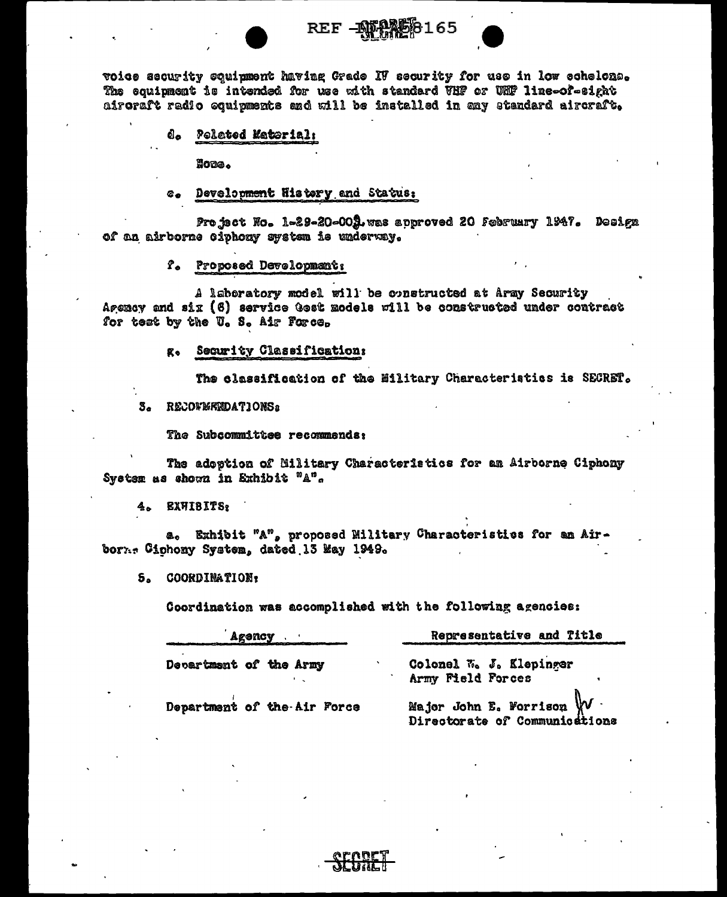

# REF - ATANE 6165

voice security squipment having Grade IV security for use in low echelons. The equipment is intended for use with standard VHF or UHF line-of-sight aireraft radio equipments and will be installed in any standard aircraft.

#### வெ Polated Material:

Hote.

#### Development History and Status:  $\mathbf{c}$ .

Pro ject No. 1-29-20-002 was approved 20 February 1947. Design of an airborne ciphony system is underway.

### f. Proposed Development:

A laboratory model will be constructed at Army Security Agency and six (6) service Gest models will be constructed under contract for test by the U. S. Air Force.

#### g. Security Classifications

The classification of the Military Characteristics is SECRET.

3. RECOVMEENDATIONS:

The Subcommittee recommends:

The adoption of Military Characteristics for am Airborne Ciphony System as shown in Exhibit "A".

4. EXWIBITS:

a. Exhibit "A", proposed Military Characteristics for an Airborn. Ciphony System, dated 13 May 1949.

#### **COORDINATION:**  $5.$

Coordination was accomplished with the following agencies:

| Agency                      | Representative and Title                                   |  |  |  |
|-----------------------------|------------------------------------------------------------|--|--|--|
| Decartment of the Army      | Colonel W. J. Klepinger<br>Army Field Forces               |  |  |  |
| Department of the Air Force | Major John E. Worrison W.<br>Directorate of Communications |  |  |  |

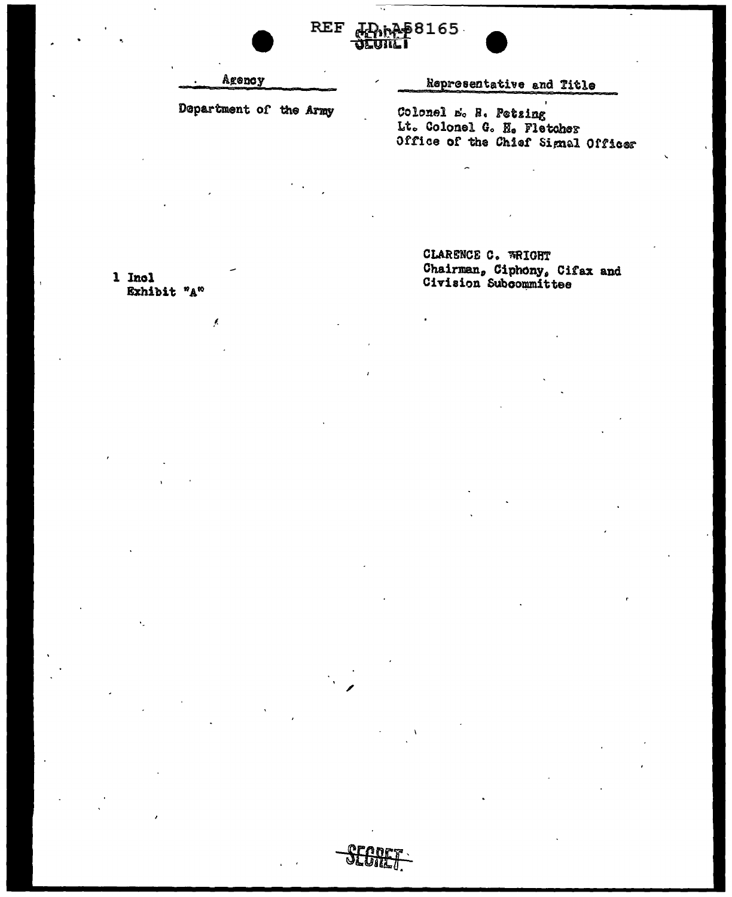|                        | REF JDRAP8165<br><b>Jeunai</b>                                                            |
|------------------------|-------------------------------------------------------------------------------------------|
| Agency                 | Representative and Title                                                                  |
| Department of the Army | Colonel E. R. Petzing<br>Lt. Colonel G. H. Fletcher<br>Office of the Chief Signal Officer |

1 Incl<br>Exhibit  $^n{}_{A}^{\infty}$ 

 $\bar{\mathcal{L}}$ 

CLARENCE C. WRIGHT<br>Chairman, Ciphony, Cifax and<br>Civision Subcommittee

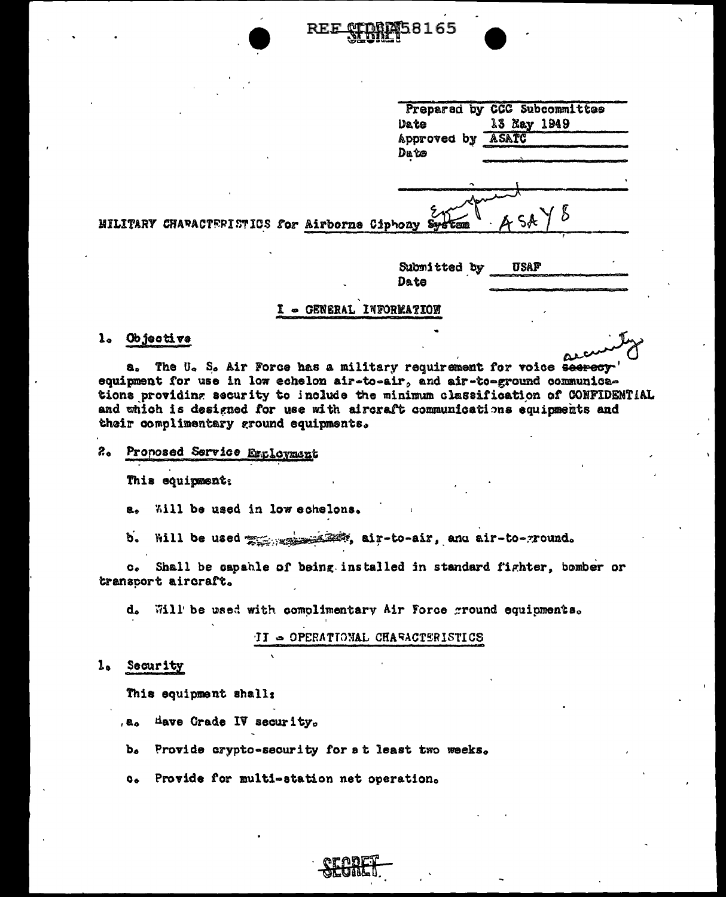|  | Preparad by CCC Subcommittee<br>13 May 1949<br>Date<br>ASATC<br>Approved by<br>Dute |
|--|-------------------------------------------------------------------------------------|
|  | 454<br>TERISTICS for Airborne Ciphony System                                        |
|  | Submitted by<br>USAF<br>Da te                                                       |

#### I - GENERAL INFORMATION

#### 1. Objective

**MILITARY CHAPAC** 

The U. S. Air Force has a military requirement for voice seerecy' a., equipment for use in low echelon air-to-air, and air-to-ground communications providing security to include the minimum classification of CONFIDENTIAL and which is designed for use with aircraft communications equipments and their complimentary ground equipments.

#### Pronosed Service Engloymant  $z_{\bullet}$

This equipment:

a. Will be used in low echelons.

b. Will be used  $\frac{1}{2}$  and  $\frac{1}{2}$  and air-to-ground.

c. Shall be capable of being installed in standard fighter, bomber or transcort aircraft.

d. Will be used with complimentary Air Force ground equipments.

II - OPERATIONAL CHARACTERISTICS

1. Security

This equipment shall:

- a. Have Grade IV security.
- b. Provide crypto-security for at least two weeks.
- $\bullet$ Provide for multi-station net operation.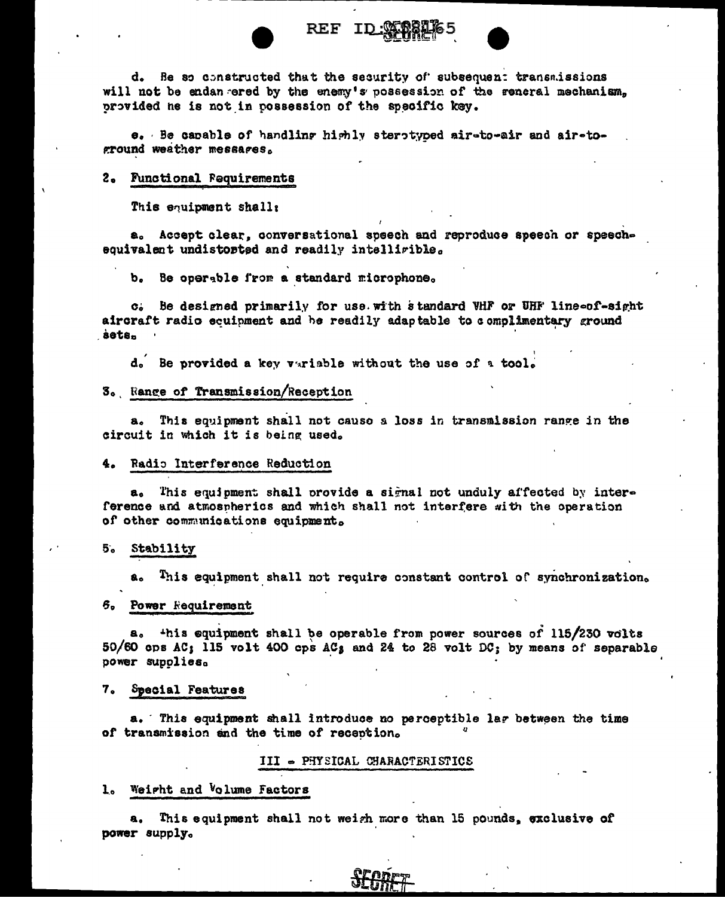

 $REF$ ID

d. Be so constructed that the security of subsequent transmissions will not be endan ered by the enemy's possession of the reneral mechanism, provided he is not in possession of the specific key.

e. Be capable of handling highly sterotyped air-to-air and air-toground weather messages.

#### 2. Functional Fequirements

This equipment shall:

a. Accept clear, conversational speech and reproduce speech or speechequivalent undistorted and readily intelligible.

Be operable from a standard microphone. ъ.

Be designed primarily for use with standard VHF or UHF line-of-sight  $\mathbf{C}$  is a set of  $\mathbf{C}$ aircraft radio ecuipment and he readily adaptable to complimentary ground sets.

d. Be provided a key variable without the use of a tool.

#### 3. Range of Transmission/Reception

This equipment shall not causo a loss in transmission range in the  $a<sub>n</sub>$ circuit in which it is being used.

#### 4. Radio Interference Reduction

a. This equipment shall provide a signal not unduly affected by interference and atmospherics and which shall not interfere with the operation of other communications equipment.

#### 5. Stability

This equipment shall not require constant control of synchronization. a.

#### 6. Power Requirement

a. this equipment shall be operable from power sources of 115/230 volts 50/60 cps AC; 115 volt 400 cps AC; and 24 to 28 volt DC; by means of separable power supplies.

#### 7. Special Features

a. This equipment shall introduce no perceptible lar between the time of transmission and the time of reception.

#### III - PHYSICAL CHARACTERISTICS

#### 1. Weight and Volume Factors

This equipment shall not weigh more than 15 pounds, exclusive of a., power supply.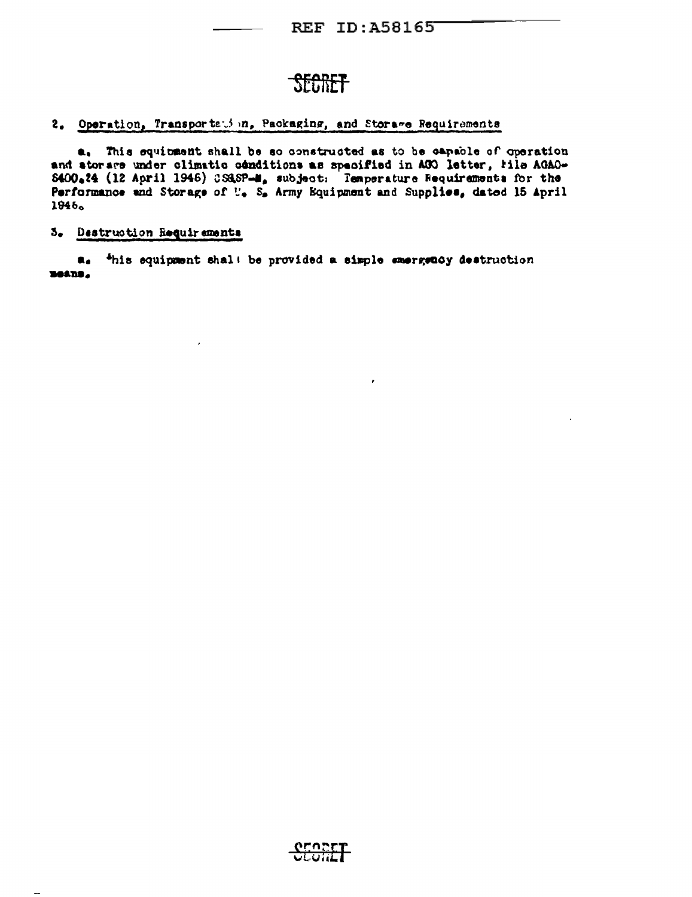**REF ID: A58165** 

ł

# **SECRET**

2. Operation, Transportation, Packaging, and Storage Requirements

a. This equipment shall be so constructed as to be capable of operation and atorare under climatic conditions as specified in ACO letter, lile AGAO-8400.24 (12 April 1946) CS&SP-M, subject: Temperature Requirements for the Performance and Storage of U. S. Army Equipment and Supplies, dated 15 April 1946。

# 5. Destruction Requirements

a. <sup>4</sup>his equipment shal! be provided a simple emergency destruction **Beans,** 

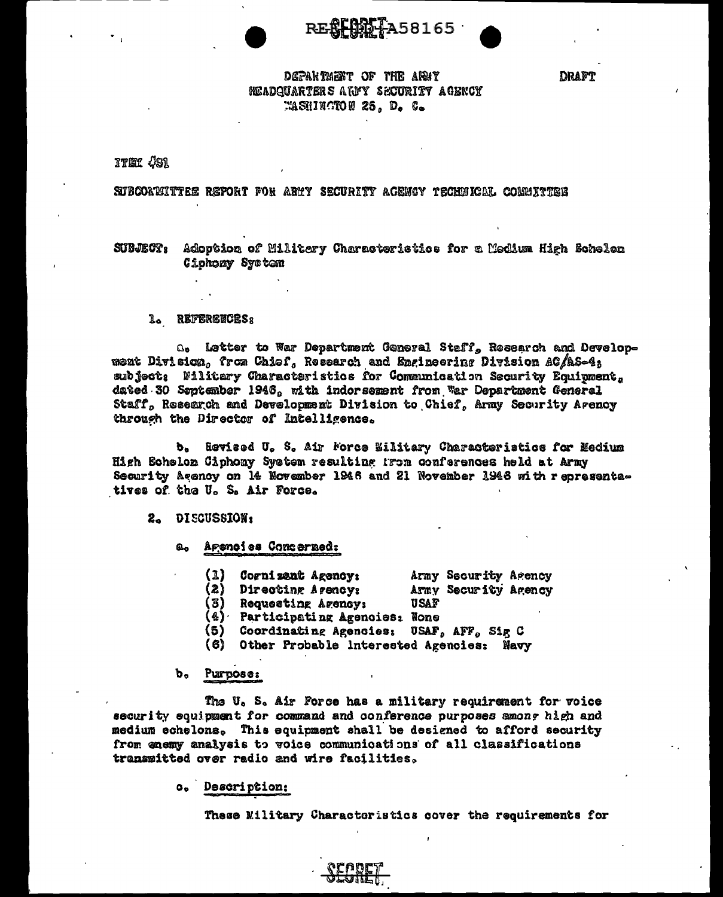RE**RFARE 1**A58165

**DRAFT** 

# DEPARTMENT OF THE ARMY NEADQUARTERS ARMY SECURITY AGENCY WASHINGTON 25. D. C.

**ITEM #S1** 

# SUBCORTITTEE REPORT FOR ARMY SECURITY AGENCY TECHNICAL COMMITTEE

SUBJECT: Adoption of Militery Characteristics for a Medium High Schelen Ciphony System

#### **1. REFERENCESS**

a. Letter to War Department General Staff, Research and Development Division, from Chief, Research and Engineering Division AC/AS-4: subject: Filitary Characteristics for Communication Security Equipment. dated 30 September 1946, with indorsement from War Department General Staff, Research and Development Division to Chief, Army Security Arency through the Director of Intelligence.

b. Revised U. S. Air Force Military Characteristics for Medium High Echelon Ciphony System resulting from conferences held at Army Security Agency on 14 November 1946 and 21 November 1946 with representatives of the U. S. Air Force.

#### 2. DISCUSSION:

Agencies Concerned: வெ

- $\Omega$ Cogni zant Agency: Army Security Agency
- (2) Directing Agency: Army Security Agency
- 
- (3) Requesting Agency: USAF<br>(4) Participating Agencies: None
- (5) Coordinating Agencies: USAF, AFF, Sig C
- (6) Other Probable Interested Agencies: Navy

#### b. Purpose:

The U. S. Air Force has a military requirement for voice security equipment for command and conference purposes smong high and medium echelons. This equipment shall be designed to afford security from enemy analysis to voice communications of all classifications transmitted over radio and wire facilities.

#### c. Description:

These Military Characteristics cover the requirements for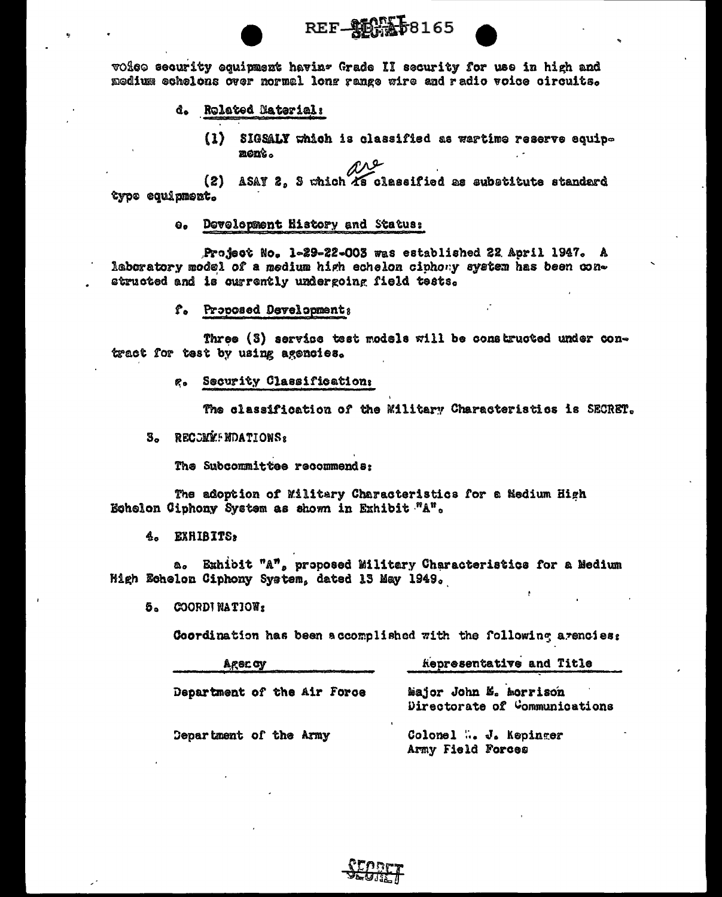

voico security equipment havin- Grade II security for use in high and medium echelons over normal long range wire and radio voice circuits.

# d. Rolated Material:

(1) SIGSALY which is classified as wartime reserve equipnent. are

ASAY 2, 3 which As classified as substitute standard  $(2)$ type equipment.

### e. Development History and Status:

Project No. 1-29-22-003 was established 22 April 1947. A laboratory model of a medium high echelon cinhony system has been constructed and is currently undergoing field tests.

f. Proposed Developments

Three (3) service test models will be constructed under contract for test by using agencies.

g. Security Classification:

The classification of the Military Characteristics is SECRET.

**3. RECOMM: NDATIONS**<sub>2</sub>

The Subcommittee recommends:

The adoption of Military Characteristics for a Nedium High Echelon Ciphony System as shown in Exhibit "A".

4. EXHIBITS:

a. Exhibit "A", proposed Military Characteristics for a Medium High Echelon Ciphony System, dated 13 May 1949.

5. COORDINATION:

Coordination has been accomplished with the following arenoies:

| Ager by                     | kepresentative and Title                                |  |  |  |  |
|-----------------------------|---------------------------------------------------------|--|--|--|--|
| Department of the Air Force | Major John E. Morrison<br>Directorate of Communications |  |  |  |  |
| Department of the Army      | Colomel  J. Kepinger<br>Army Field Forces               |  |  |  |  |

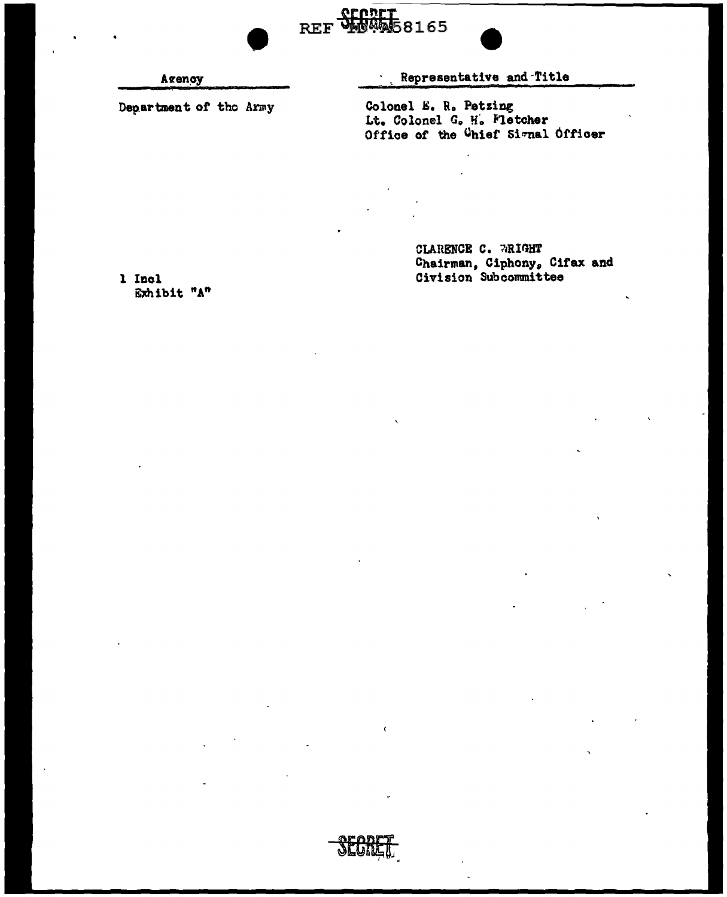

Department of the Army

Representative and Title

REF WERGES165

 $\bullet$ 

Colonel E. R. Petzing Lt. Colonel G. H. Fletcher<br>Office of the <sup>C</sup>hief Simal Officer

> CLARENCE C. WRIGHT Chairman, Ciphony, Cifax and<br>Civision Subcommittee

1 Incl Exhibit "A"



 $\epsilon$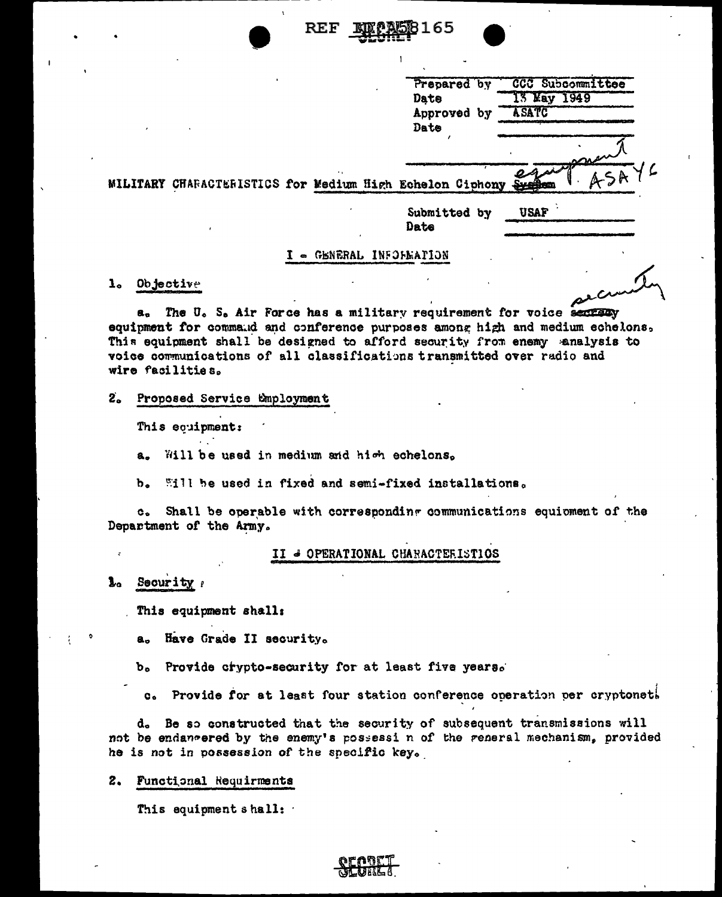RF F

|                                                         | $\ddot{\phantom{1}}$ | Approved by<br>Date  |  | <b>ASATC</b><br>paren<br>essie |
|---------------------------------------------------------|----------------------|----------------------|--|--------------------------------|
| ILITARY CHARACTERISTICS for Medium High Echelon Ciphony |                      | Submitted by<br>Date |  | usaf                           |

# - GENERAL INFOFEATION

# 1. Objective

The U. S. Air Force has a military requirement for voice section a. equipment for command and conference purposes among high and medium echelons, This equipment shall be designed to afford security from enemy analysis to voice communications of all classifications transmitted over radio and wire facilities.

#### $2<sub>o</sub>$ Proposed Service Employment

This equipment:

Will be used in medium and high echelons. 8.

Will be used in fixed and semi-fixed installations. b.

Shall be operable with corresponding communications equioment of the  $\mathbf{c}_{\bullet}$ Department of the Army.

#### II & OPERATIONAL CHARACTERISTIOS

#### 1. Security

This equipment shall:

Have Grade II security. a.,

Provide crypto-security for at least five years. ъ.

Provide for at least four station conference operation per cryptonet!  $\mathbf{c}$ .

d. Be so constructed that the security of subsequent transmissions will not be endancered by the enemy's possessi n of the reneral mechanism, provided he is not in possession of the specific key.

#### $2.$ Functional Requirments

This equipment shall: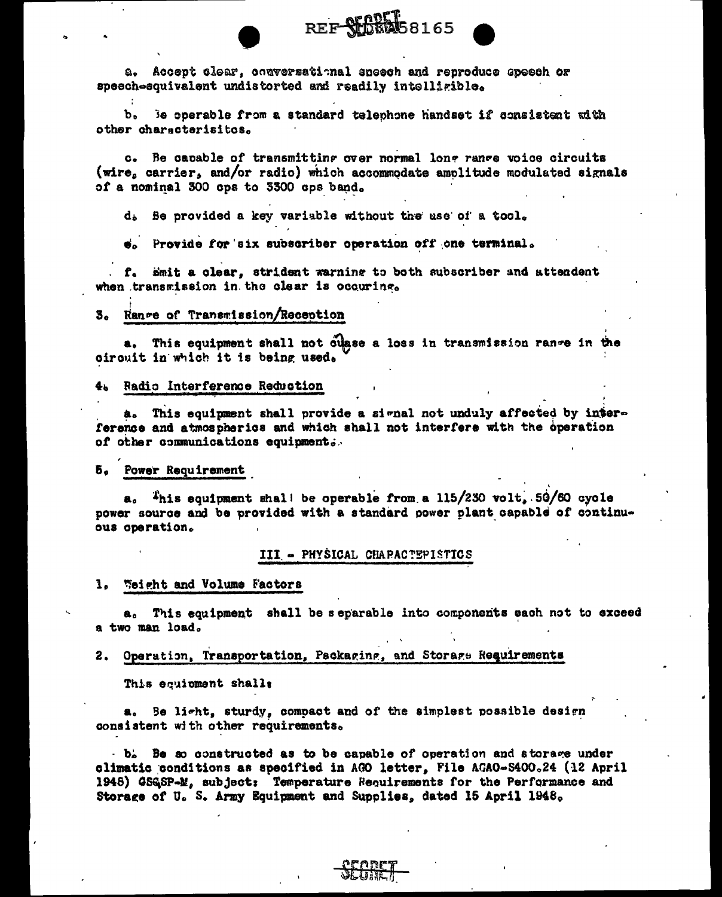a. Accept clear, comversational speech and reproduce speech or speech-equivalent undistorted and readily intelligible.

b. Be operable from a standard telephone handset if consistent with other characterisites.

c. Be capable of transmitting over normal long range voice circuits (wire, carrier, and/or radio) which accommodate amolitude modulated signals of a nominal 300 ops to 3300 ops band.

REF SECRET 8165

d. Be provided a key variable without the use of a tool.

e. Provide for six subscriber operation off one terminal.

f. Smit a clear, strident warning to both subscriber and attendent when transmission in the clear is occuring.

#### 3. Range of Transmission/Reception

a. This equipment shall not ouase a loss in transmission range in the circuit in which it is being used.

#### 4. Radio Interference Reduction

a. This equipment shall provide a signal not unduly affected by interference and atmospherics and which shall not interfere with the operation of other communications equipment.

#### 5. Power Requirement

 $a_0$  This equipment shall be operable from a 115/230 volt, 50/60 cycle power source and be provided with a standard power plant capable of continuous operation.

### III - PHYSICAL CHARACTEPISTICS

1. Weight and Volume Factors

a. This equipment shall be separable into components sach not to exceed a two man load.

#### 2. Operation, Transportation, Psckaging, and Storage Requirements

This equioment shalls

a. Be light, sturdy, compact and of the simplest possible design consistent with other requirements.

 $-b<sub>e</sub>$  Be so constructed as to be capable of operation and storage under climatic conditions as specified in AGO letter. File AGAO-S400.24 (12 April 1948) GSGSP-M, subject: Temperature Requirements for the Performance and Storage of U. S. Army Equipment and Supplies, dated 15 April 1948.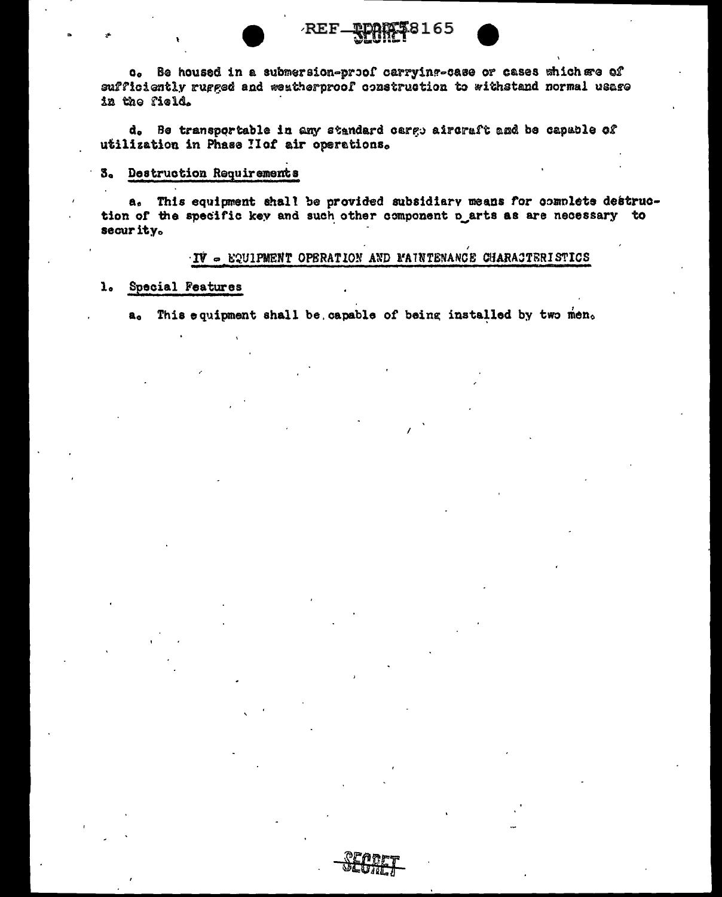c. Be housed in a submersion-proof carrying-case or cases which see of sufficiently rugged and weatherproof construction to withstand normal usage in the field.

**REF** 

8165

d. Be transportable in any standard cargo aircraft and be capable of utilization in Phase Hof air operations.

# 3. Destruction Requirements

a. This equipment shall be provided subsidiary means for complete destruction of the specific key and such other component n arts as are necessary to security.

### $\cdot$ IV  $\sim$  EQUIPMENT OPERATION AND MAINTENANCE CHARACTERISTICS

#### Special Features  $\mathbf{1}_{\bullet}$

This equipment shall be capable of being installed by two men. a.